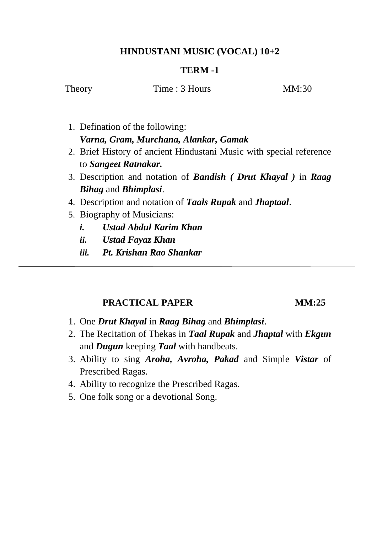# **HINDUSTANI MUSIC (VOCAL) 10+2**

### **TERM -1**

Theory Time : 3 Hours MM:30

- 1. Defination of the following: *Varna, Gram, Murchana, Alankar, Gamak*
- 2. Brief History of ancient Hindustani Music with special reference to *Sangeet Ratnakar.*
- 3. Description and notation of *Bandish ( Drut Khayal )* in *Raag Bihag* and *Bhimplasi*.
- 4. Description and notation of *Taals Rupak* and *Jhaptaal*.
- 5. Biography of Musicians:
	- *i. Ustad Abdul Karim Khan*
	- *ii. Ustad Fayaz Khan*
	- *iii. Pt. Krishan Rao Shankar*

## **PRACTICAL PAPER MM:25**

- 1. One *Drut Khayal* in *Raag Bihag* and *Bhimplasi*.
- 2. The Recitation of Thekas in *Taal Rupak* and *Jhaptal* with *Ekgun* and *Dugun* keeping *Taal* with handbeats.
- 3. Ability to sing *Aroha, Avroha, Pakad* and Simple *Vistar* of Prescribed Ragas.
- 4. Ability to recognize the Prescribed Ragas.
- 5. One folk song or a devotional Song.